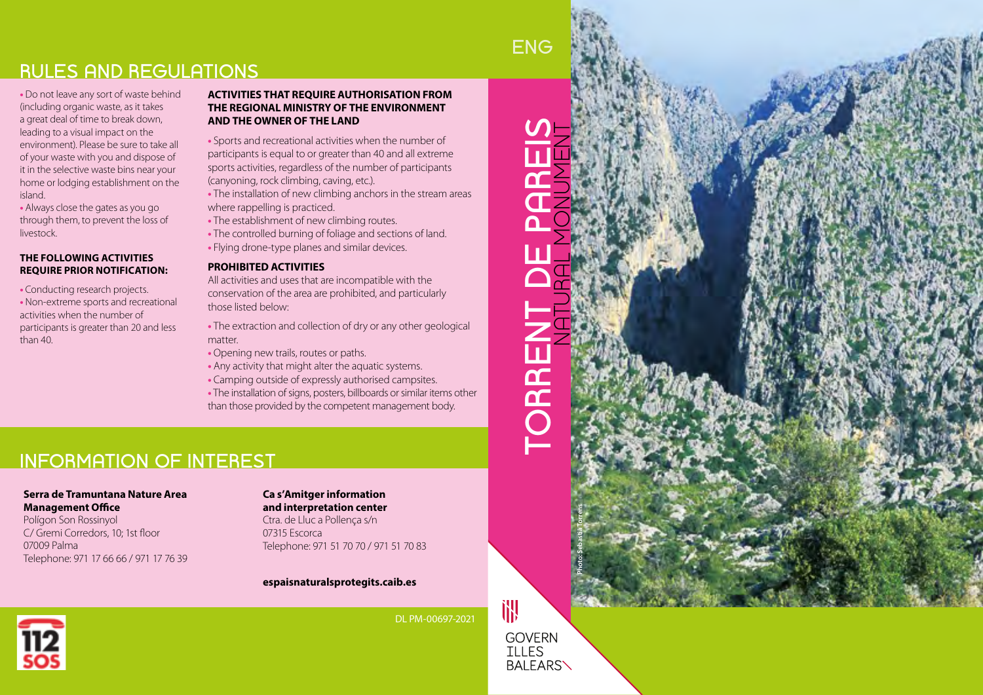# **RULES AND REGULATIONS**

**•** Do not leave any sort of waste behind (including organic waste, as it takes a great deal of time to break down, leading to a visual impact on the environment). Please be sure to take all of your waste with you and dispose of it in the selective waste bins near your home or lodging establishment on the island.

**•** Always close the gates as you go through them, to prevent the loss of livestock.

#### **THE FOLLOWING ACTIVITIES REQUIRE PRIOR NOTIFICATION:**

**•** Conducting research projects. **•** Non-extreme sports and recreational activities when the number of participants is greater than 20 and less than 40.

#### **ACTIVITIES THAT REQUIRE AUTHORISATION FROM THE REGIONAL MINISTRY OF THE ENVIRONMENT AND THE OWNER OF THE LAND**

**•** Sports and recreational activities when the number of participants is equal to or greater than 40 and all extreme sports activities, regardless of the number of participants (canyoning, rock climbing, caving, etc.).

**•** The installation of new climbing anchors in the stream areas where rappelling is practiced.

**•** The establishment of new climbing routes.

**•** The controlled burning of foliage and sections of land.

**•** Flying drone-type planes and similar devices.

#### **PROHIBITED ACTIVITIES**

All activities and uses that are incompatible with the conservation of the area are prohibited, and particularly those listed below:

**•** The extraction and collection of dry or any other geological matter.

- **•** Opening new trails, routes or paths.
- **•** Any activity that might alter the aquatic systems.
- **•** Camping outside of expressly authorised campsites.
- **•** The installation of signs, posters, billboards or similar items other than those provided by the competent management body.

# **INFORMATION OF INTEREST**

### **Serra de Tramuntana Nature Area Management Office**

Polígon Son Rossinyol C/ Gremi Corredors, 10; 1st floor 07009 Palma Telephone: 971 17 66 66 / 971 17 76 39

#### **Ca s'Amitger information and interpretation center**

Ctra. de Lluc a Pollença s/n 07315 Escorca Telephone: 971 51 70 70 / 971 51 70 83

#### **espaisnaturalsprotegits.caib.es**



DL PM-00697-2021

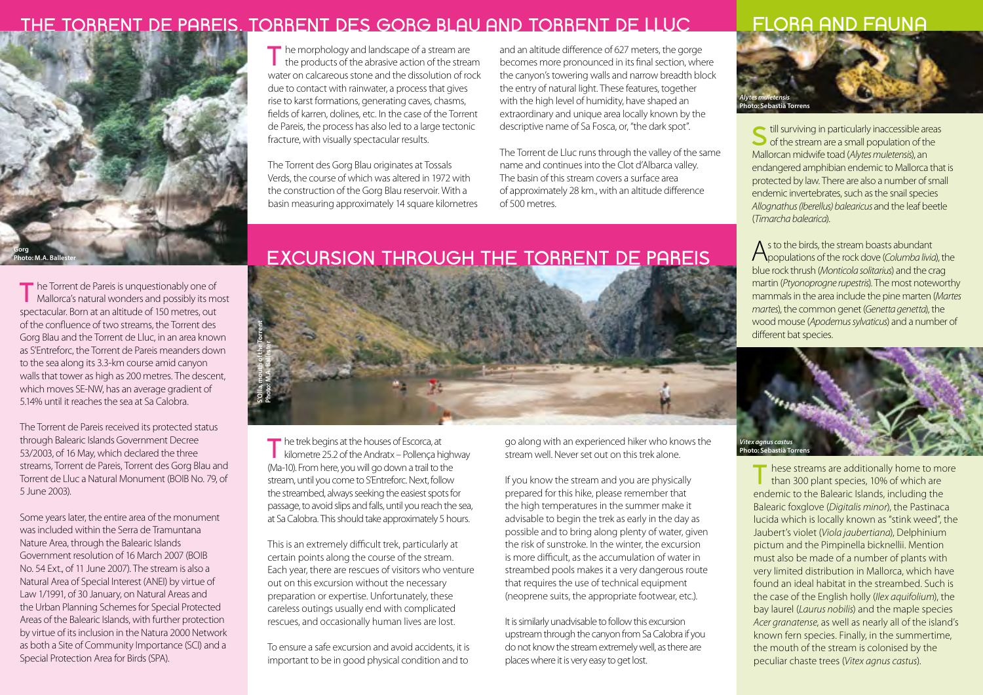## **THE TORRENT DE PAREIS, TORRENT DES GORG BLAU AND TORRENT DE LLUC FLORA AND FAUNA**



T<sub>he</sub> Torrent de Pareis is unquestionably one of Mallorca's natural wonders and possibly its most spectacular. Born at an altitude of 150 metres, out of the confluence of two streams, the Torrent des Gorg Blau and the Torrent de Lluc, in an area known as S'Entreforc, the Torrent de Pareis meanders down to the sea along its 3.3-km course amid canyon walls that tower as high as 200 metres. The descent, which moves SE-NW, has an average gradient of 5.14% until it reaches the sea at Sa Calobra.

The Torrent de Pareis received its protected status through Balearic Islands Government Decree 53/2003, of 16 May, which declared the three streams, Torrent de Pareis, Torrent des Gorg Blau and Torrent de Lluc a Natural Monument (BOIB No. 79, of 5 June 2003).

Some years later, the entire area of the monument was included within the Serra de Tramuntana Nature Area, through the Balearic Islands Government resolution of 16 March 2007 (BOIB No. 54 Ext., of 11 June 2007). The stream is also a Natural Area of Special Interest (ANEI) by virtue of Law 1/1991, of 30 January, on Natural Areas and the Urban Planning Schemes for Special Protected Areas of the Balearic Islands, with further protection by virtue of its inclusion in the Natura 2000 Network as both a Site of Community Importance (SCI) and a Special Protection Area for Birds (SPA).

T<sub>1</sub> he morphology and landscape of a stream are  $\parallel$  the products of the abrasive action of the stream water on calcareous stone and the dissolution of rock due to contact with rainwater, a process that gives rise to karst formations, generating caves, chasms, fields of karren, dolines, etc. In the case of the Torrent de Pareis, the process has also led to a large tectonic fracture, with visually spectacular results.

The Torrent des Gorg Blau originates at Tossals Verds, the course of which was altered in 1972 with the construction of the Gorg Blau reservoir. With a basin measuring approximately 14 square kilometres and an altitude difference of 627 meters, the gorge becomes more pronounced in its final section, where the canyon's towering walls and narrow breadth block the entry of natural light. These features, together with the high level of humidity, have shaped an extraordinary and unique area locally known by the descriptive name of Sa Fosca, or, "the dark spot".

The Torrent de Lluc runs through the valley of the same name and continues into the Clot d'Albarca valley. The basin of this stream covers a surface area of approximately 28 km., with an altitude difference of 500 metres.



**Thill surviving in particularly inaccessible areas**  $\bigcirc$  of the stream are a small population of the Mallorcan midwife toad (*Alytes muletensis*), an endangered amphibian endemic to Mallorca that is protected by law. There are also a number of small endemic invertebrates, such as the snail species *Allognathus (Iberellus) balearicus* and the leaf beetle (*Timarcha balearica*).

As to the birds, the stream boasts abundant populations of the rock dove (*Columba livia*), the blue rock thrush (*Monticola solitarius*) and the crag martin (*Ptyonoprogne rupestris*). The most noteworthy mammals in the area include the pine marten (*Martes martes*), the common genet (*Genetta genetta*), the wood mouse (*Apodemus sylvaticus*) and a number of different bat species.



T<sub>T</sub> hese streams are additionally home to more than 300 plant species, 10% of which are endemic to the Balearic Islands, including the Balearic foxglove (*Digitalis minor*), the Pastinaca lucida which is locally known as "stink weed", the Jaubert's violet (*Viola jaubertiana*), Delphinium pictum and the Pimpinella bicknellii. Mention must also be made of a number of plants with very limited distribution in Mallorca, which have found an ideal habitat in the streambed. Such is the case of the English holly (*Ilex aquifolium*), the bay laurel (*Laurus nobilis*) and the maple species *Acer granatense*, as well as nearly all of the island's known fern species. Finally, in the summertime, the mouth of the stream is colonised by the peculiar chaste trees (*Vitex agnus castus*).

# **EXCURSION THROUGH THE TORRENT DE PAREIS**



**T** he trek begins at the houses of Escorca, at kilometre 25.2 of the Andratx – Pollença highway (Ma-10). From here, you will go down a trail to the stream, until you come to S'Entreforc. Next, follow the streambed, always seeking the easiest spots for passage, to avoid slips and falls, until you reach the sea, at Sa Calobra. This should take approximately 5 hours.

This is an extremely difficult trek, particularly at certain points along the course of the stream. Each year, there are rescues of visitors who venture out on this excursion without the necessary preparation or expertise. Unfortunately, these careless outings usually end with complicated rescues, and occasionally human lives are lost.

To ensure a safe excursion and avoid accidents, it is important to be in good physical condition and to

go along with an experienced hiker who knows the stream well. Never set out on this trek alone.

If you know the stream and you are physically prepared for this hike, please remember that the high temperatures in the summer make it advisable to begin the trek as early in the day as possible and to bring along plenty of water, given the risk of sunstroke. In the winter, the excursion is more difficult, as the accumulation of water in streambed pools makes it a very dangerous route that requires the use of technical equipment (neoprene suits, the appropriate footwear, etc.).

It is similarly unadvisable to follow this excursion upstream through the canyon from Sa Calobra if you do not know the stream extremely well, as there are places where it is very easy to get lost.